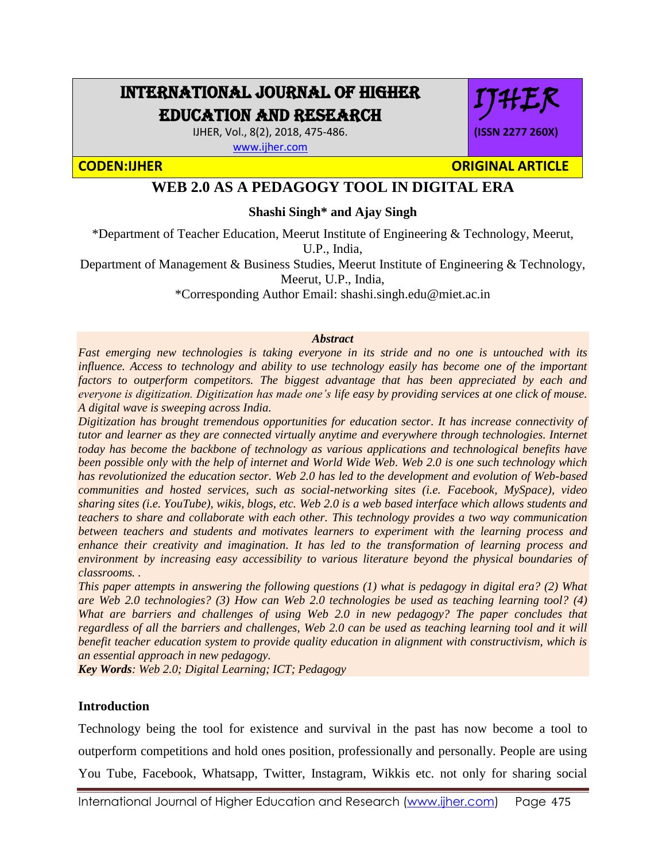# INTERNATIONAL JOURNAL OF HIGHER EDUCATION AND RESEARCH

IJHER, Vol., 8(2), 2018, 475-486. [www.ijher.com](http://www.ijher.com/)

**CODEN:IJHER ORIGINAL ARTICLE** 

IJHER

**(ISSN 2277 260X)**

# **WEB 2.0 AS A PEDAGOGY TOOL IN DIGITAL ERA**

**Shashi Singh\* and Ajay Singh**

\*Department of Teacher Education, Meerut Institute of Engineering & Technology, Meerut, U.P., India,

Department of Management & Business Studies, Meerut Institute of Engineering & Technology, Meerut, U.P., India,

\*Corresponding Author Email: [shashi.singh.edu@miet.ac.in](mailto:shashi.singh.edu@miet.ac.in)

#### *Abstract*

*Fast emerging new technologies is taking everyone in its stride and no one is untouched with its influence. Access to technology and ability to use technology easily has become one of the important factors to outperform competitors. The biggest advantage that has been appreciated by each and everyone is digitization. Digitization has made one's life easy by providing services at one click of mouse. A digital wave is sweeping across India.* 

*Digitization has brought tremendous opportunities for education sector. It has increase connectivity of tutor and learner as they are connected virtually anytime and everywhere through technologies. Internet today has become the backbone of technology as various applications and technological benefits have been possible only with the help of internet and World Wide Web. Web 2.0 is one such technology which has revolutionized the education sector. Web 2.0 has led to the development and evolution of Web-based communities and hosted services, such as social-networking sites (i.e. Facebook, MySpace), video sharing sites (i.e. YouTube), wikis, blogs, etc. Web 2.0 is a web based interface which allows students and teachers to share and collaborate with each other. This technology provides a two way communication between teachers and students and motivates learners to experiment with the learning process and enhance their creativity and imagination. It has led to the transformation of learning process and environment by increasing easy accessibility to various literature beyond the physical boundaries of classrooms. .* 

*This paper attempts in answering the following questions (1) what is pedagogy in digital era? (2) What are Web 2.0 technologies? (3) How can Web 2.0 technologies be used as teaching learning tool? (4) What are barriers and challenges of using Web 2.0 in new pedagogy? The paper concludes that regardless of all the barriers and challenges, Web 2.0 can be used as teaching learning tool and it will benefit teacher education system to provide quality education in alignment with constructivism, which is an essential approach in new pedagogy.*

*Key Words: Web 2.0; Digital Learning; ICT; Pedagogy*

#### **Introduction**

Technology being the tool for existence and survival in the past has now become a tool to outperform competitions and hold ones position, professionally and personally. People are using You Tube, Facebook, Whatsapp, Twitter, Instagram, Wikkis etc. not only for sharing social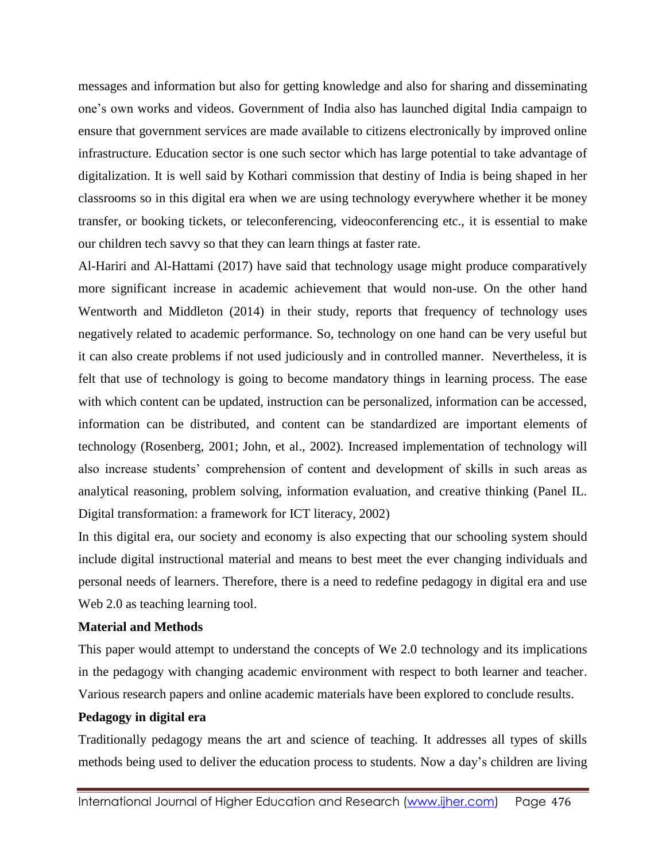messages and information but also for getting knowledge and also for sharing and disseminating one's own works and videos. Government of India also has launched digital India campaign to ensure that government services are made available to citizens electronically by improved online infrastructure. Education sector is one such sector which has large potential to take advantage of digitalization. It is well said by Kothari commission that destiny of India is being shaped in her classrooms so in this digital era when we are using technology everywhere whether it be money transfer, or booking tickets, or teleconferencing, videoconferencing etc., it is essential to make our children tech savvy so that they can learn things at faster rate.

Al-Hariri and Al-Hattami (2017) have said that technology usage might produce comparatively more significant increase in academic achievement that would non-use. On the other hand Wentworth and Middleton (2014) in their study, reports that frequency of technology uses negatively related to academic performance. So, technology on one hand can be very useful but it can also create problems if not used judiciously and in controlled manner. Nevertheless, it is felt that use of technology is going to become mandatory things in learning process. The ease with which content can be updated, instruction can be personalized, information can be accessed, information can be distributed, and content can be standardized are important elements of technology (Rosenberg, 2001; John, et al., 2002). Increased implementation of technology will also increase students' comprehension of content and development of skills in such areas as analytical reasoning, problem solving, information evaluation, and creative thinking (Panel IL. Digital transformation: a framework for ICT literacy, 2002)

In this digital era, our society and economy is also expecting that our schooling system should include digital instructional material and means to best meet the ever changing individuals and personal needs of learners. Therefore, there is a need to redefine pedagogy in digital era and use Web 2.0 as teaching learning tool.

## **Material and Methods**

This paper would attempt to understand the concepts of We 2.0 technology and its implications in the pedagogy with changing academic environment with respect to both learner and teacher. Various research papers and online academic materials have been explored to conclude results.

## **Pedagogy in digital era**

Traditionally pedagogy means the art and science of teaching. It addresses all types of skills methods being used to deliver the education process to students. Now a day's children are living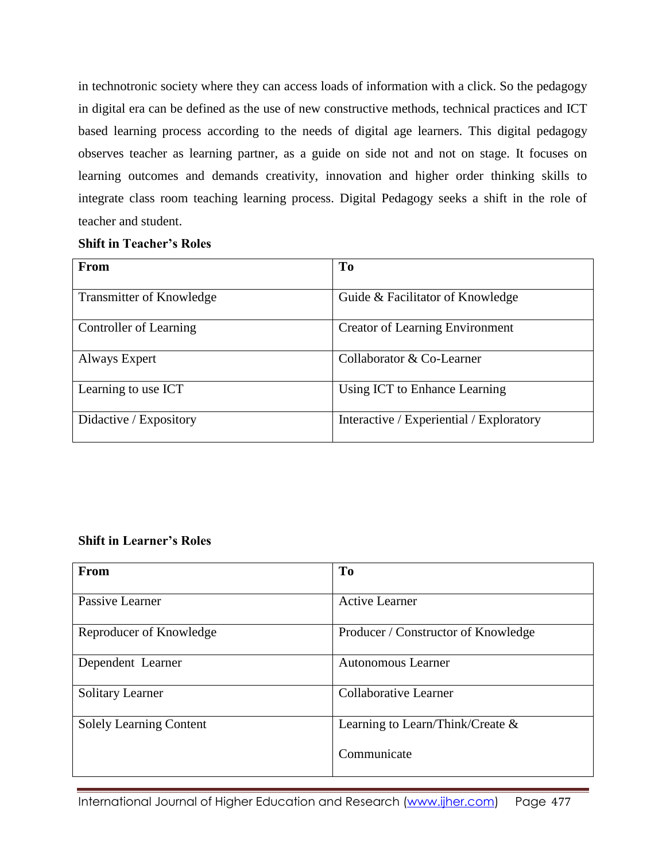in technotronic society where they can access loads of information with a click. So the pedagogy in digital era can be defined as the use of new constructive methods, technical practices and ICT based learning process according to the needs of digital age learners. This digital pedagogy observes teacher as learning partner, as a guide on side not and not on stage. It focuses on learning outcomes and demands creativity, innovation and higher order thinking skills to integrate class room teaching learning process. Digital Pedagogy seeks a shift in the role of teacher and student.

## **Shift in Teacher's Roles**

| From                            | T <sub>0</sub>                           |  |
|---------------------------------|------------------------------------------|--|
| <b>Transmitter of Knowledge</b> | Guide & Facilitator of Knowledge         |  |
| <b>Controller of Learning</b>   | <b>Creator of Learning Environment</b>   |  |
| Always Expert                   | Collaborator & Co-Learner                |  |
| Learning to use ICT             | Using ICT to Enhance Learning            |  |
| Didactive / Expository          | Interactive / Experiential / Exploratory |  |

# **Shift in Learner's Roles**

| <b>From</b>             | T <sub>0</sub>                      |
|-------------------------|-------------------------------------|
| Passive Learner         | <b>Active Learner</b>               |
| Reproducer of Knowledge | Producer / Constructor of Knowledge |
| Dependent Learner       | <b>Autonomous Learner</b>           |
| Solitary Learner        | Collaborative Learner               |
| Solely Learning Content | Learning to Learn/Think/Create &    |
|                         | Communicate                         |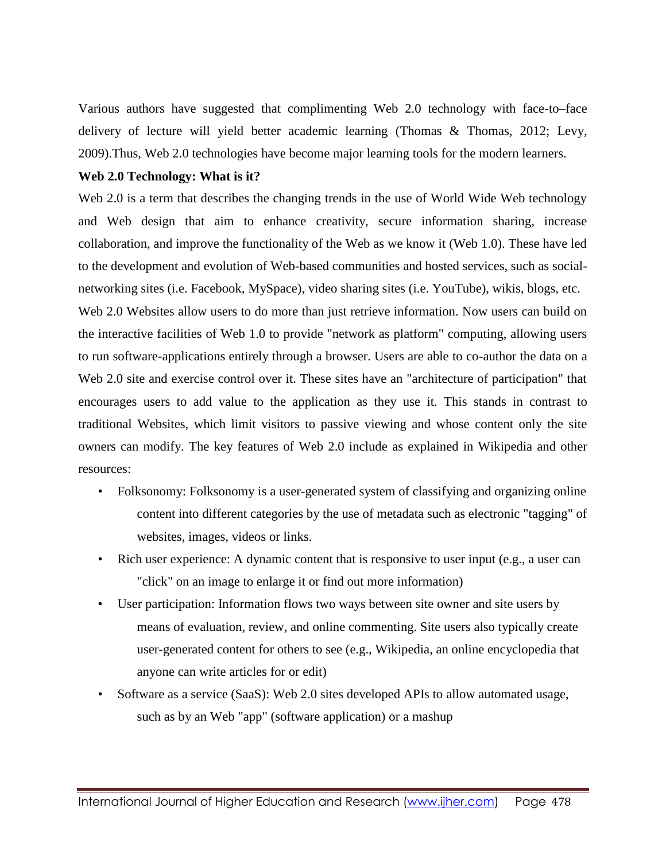Various authors have suggested that complimenting Web 2.0 technology with face-to–face delivery of lecture will yield better academic learning (Thomas & Thomas, 2012; Levy, 2009).Thus, Web 2.0 technologies have become major learning tools for the modern learners.

#### **Web 2.0 Technology: What is it?**

Web 2.0 is a term that describes the changing trends in the use of World Wide Web technology and Web design that aim to enhance creativity, secure information sharing, increase collaboration, and improve the functionality of the Web as we know it (Web 1.0). These have led to the development and evolution of Web-based communities and hosted services, such as socialnetworking sites (i.e. Facebook, MySpace), video sharing sites (i.e. YouTube), wikis, blogs, etc.

Web 2.0 Websites allow users to do more than just retrieve information. Now users can build on the interactive facilities of Web 1.0 to provide "network as platform" computing, allowing users to run software-applications entirely through a browser. Users are able to co-author the data on a Web 2.0 site and exercise control over it. These sites have an "architecture of participation" that encourages users to add value to the application as they use it. This stands in contrast to traditional Websites, which limit visitors to passive viewing and whose content only the site owners can modify. The key features of Web 2.0 include as explained in Wikipedia and other resources:

- Folksonomy: Folksonomy is a user-generated system of classifying and organizing online content into different categories by the use of metadata such as electronic "tagging" of websites, images, videos or links.
- Rich user experience: A dynamic content that is responsive to user input (e.g., a user can "click" on an image to enlarge it or find out more information)
- User participation: Information flows two ways between site owner and site users by means of evaluation, review, and online commenting. Site users also typically create user-generated content for others to see (e.g., Wikipedia, an online encyclopedia that anyone can write articles for or edit)
- Software as a service (SaaS): Web 2.0 sites developed APIs to allow automated usage, such as by an Web "app" (software application) or a mashup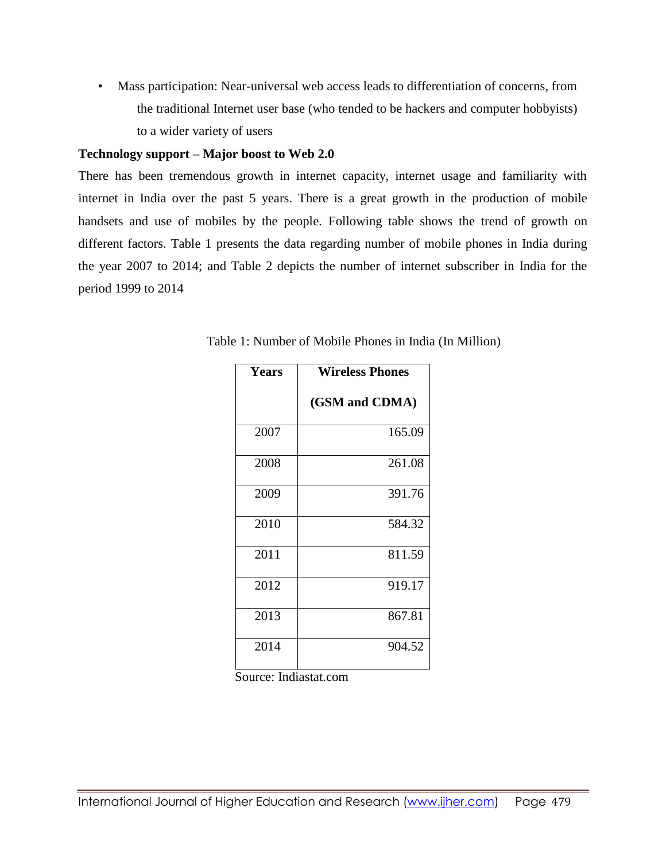• Mass participation: Near-universal web access leads to differentiation of concerns, from the traditional Internet user base (who tended to be hackers and computer hobbyists) to a wider variety of users

#### **Technology support – Major boost to Web 2.0**

There has been tremendous growth in internet capacity, internet usage and familiarity with internet in India over the past 5 years. There is a great growth in the production of mobile handsets and use of mobiles by the people. Following table shows the trend of growth on different factors. Table 1 presents the data regarding number of mobile phones in India during the year 2007 to 2014; and Table 2 depicts the number of internet subscriber in India for the period 1999 to 2014

| <b>Years</b> | <b>Wireless Phones</b> |  |
|--------------|------------------------|--|
|              | (GSM and CDMA)         |  |
| 2007         | 165.09                 |  |
| 2008         | 261.08                 |  |
| 2009         | 391.76                 |  |
| 2010         | 584.32                 |  |
| 2011         | 811.59                 |  |
| 2012         | 919.17                 |  |
| 2013         | 867.81                 |  |
| 2014         | 904.52                 |  |

Table 1: Number of Mobile Phones in India (In Million)

Source: Indiastat.com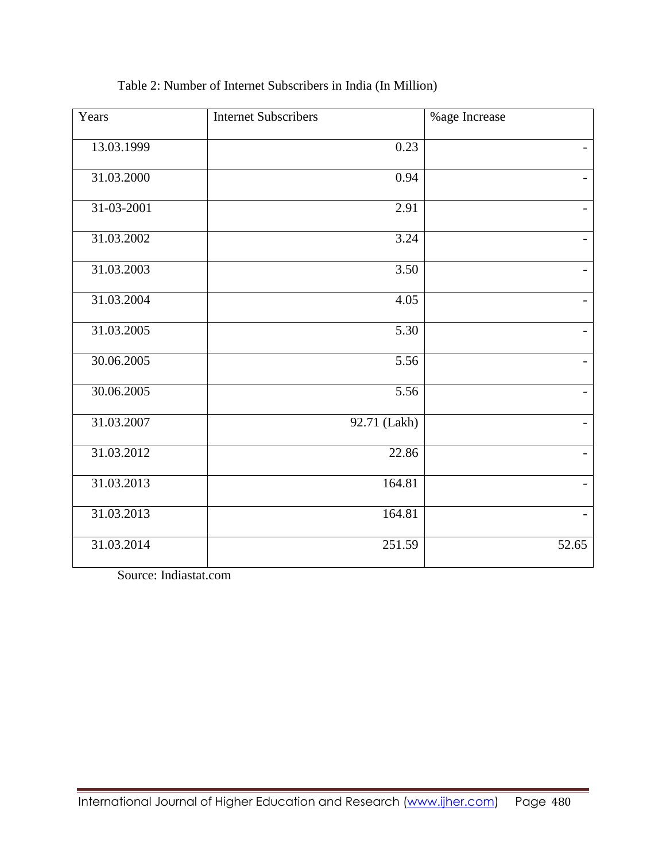| Years      | <b>Internet Subscribers</b> | %age Increase            |
|------------|-----------------------------|--------------------------|
| 13.03.1999 | 0.23                        |                          |
| 31.03.2000 | 0.94                        |                          |
| 31-03-2001 | 2.91                        |                          |
| 31.03.2002 | 3.24                        |                          |
| 31.03.2003 | 3.50                        | $\overline{\phantom{0}}$ |
| 31.03.2004 | 4.05                        |                          |
| 31.03.2005 | 5.30                        | $-$                      |
| 30.06.2005 | 5.56                        |                          |
| 30.06.2005 | 5.56                        |                          |
| 31.03.2007 | 92.71 (Lakh)                |                          |
| 31.03.2012 | 22.86                       |                          |
| 31.03.2013 | 164.81                      |                          |
| 31.03.2013 | 164.81                      |                          |
| 31.03.2014 | 251.59                      | 52.65                    |
|            |                             |                          |

Table 2: Number of Internet Subscribers in India (In Million)

Source: Indiastat.com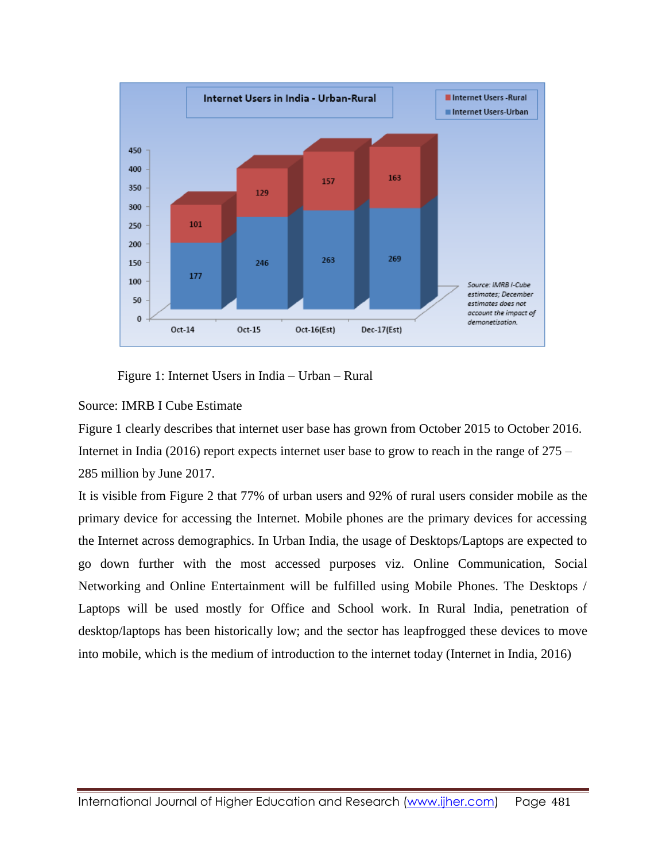

Figure 1: Internet Users in India – Urban – Rural

#### Source: IMRB I Cube Estimate

Figure 1 clearly describes that internet user base has grown from October 2015 to October 2016. Internet in India (2016) report expects internet user base to grow to reach in the range of 275 – 285 million by June 2017.

It is visible from Figure 2 that 77% of urban users and 92% of rural users consider mobile as the primary device for accessing the Internet. Mobile phones are the primary devices for accessing the Internet across demographics. In Urban India, the usage of Desktops/Laptops are expected to go down further with the most accessed purposes viz. Online Communication, Social Networking and Online Entertainment will be fulfilled using Mobile Phones. The Desktops / Laptops will be used mostly for Office and School work. In Rural India, penetration of desktop/laptops has been historically low; and the sector has leapfrogged these devices to move into mobile, which is the medium of introduction to the internet today (Internet in India, 2016)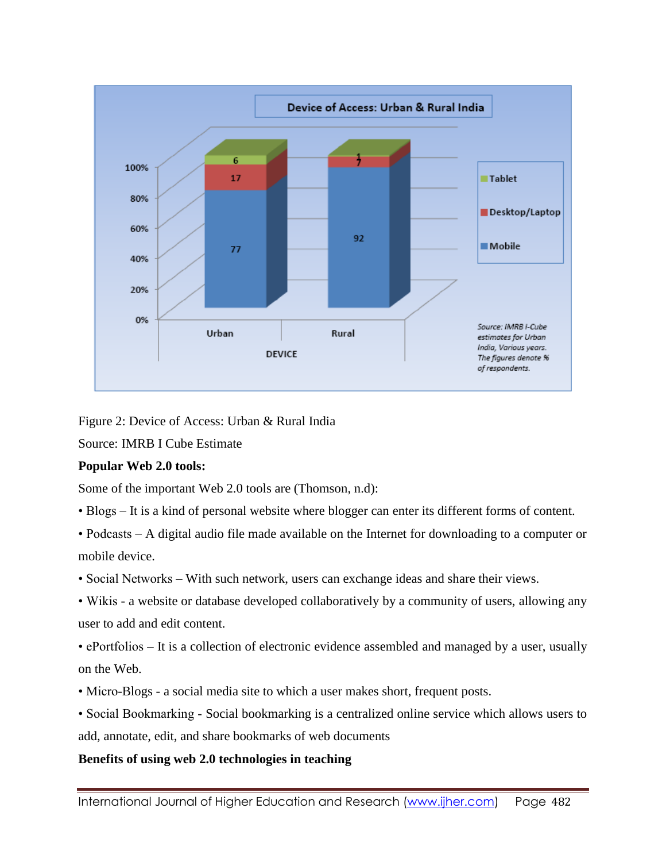

Figure 2: Device of Access: Urban & Rural India

Source: IMRB I Cube Estimate

## **Popular Web 2.0 tools:**

Some of the important Web 2.0 tools are (Thomson, n.d):

• Blogs – It is a kind of personal website where blogger can enter its different forms of content.

• Podcasts – A digital audio file made available on the Internet for downloading to a computer or mobile device.

• Social Networks – With such network, users can exchange ideas and share their views.

• Wikis - a website or database developed collaboratively by a community of users, allowing any user to add and edit content.

• ePortfolios – It is a collection of electronic evidence assembled and managed by a user, usually on the Web.

- Micro-Blogs a social media site to which a user makes short, frequent posts.
- Social Bookmarking Social bookmarking is a centralized online service which allows users to add, annotate, edit, and share bookmarks of web documents

## **Benefits of using web 2.0 technologies in teaching**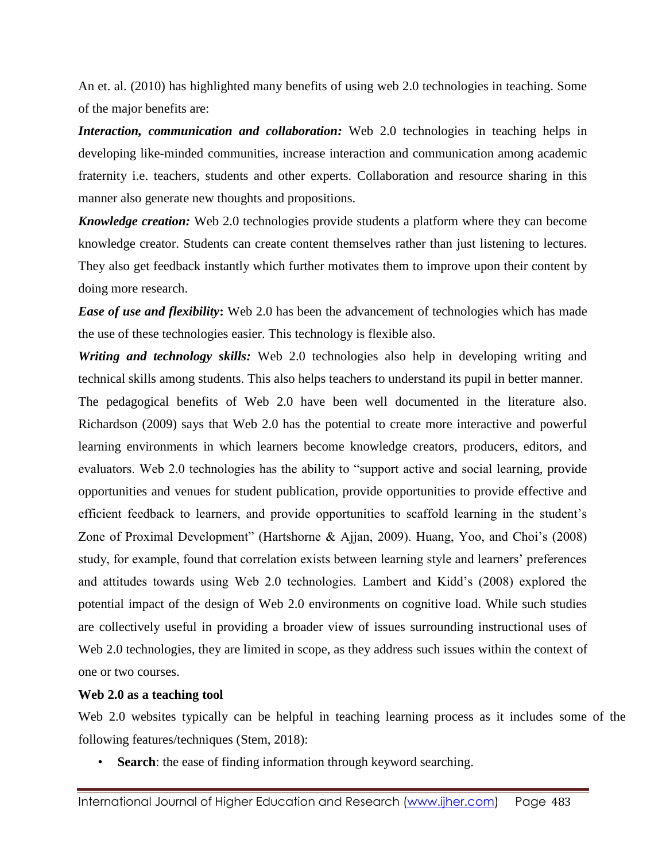An et. al. (2010) has highlighted many benefits of using web 2.0 technologies in teaching. Some of the major benefits are:

*Interaction, communication and collaboration:* Web 2.0 technologies in teaching helps in developing like-minded communities, increase interaction and communication among academic fraternity i.e. teachers, students and other experts. Collaboration and resource sharing in this manner also generate new thoughts and propositions.

*Knowledge creation:* Web 2.0 technologies provide students a platform where they can become knowledge creator. Students can create content themselves rather than just listening to lectures. They also get feedback instantly which further motivates them to improve upon their content by doing more research.

*Ease of use and flexibility***:** Web 2.0 has been the advancement of technologies which has made the use of these technologies easier. This technology is flexible also.

*Writing and technology skills:* Web 2.0 technologies also help in developing writing and technical skills among students. This also helps teachers to understand its pupil in better manner.

The pedagogical benefits of Web 2.0 have been well documented in the literature also. Richardson (2009) says that Web 2.0 has the potential to create more interactive and powerful learning environments in which learners become knowledge creators, producers, editors, and evaluators. Web 2.0 technologies has the ability to "support active and social learning, provide opportunities and venues for student publication, provide opportunities to provide effective and efficient feedback to learners, and provide opportunities to scaffold learning in the student's Zone of Proximal Development" (Hartshorne & Ajjan, 2009). Huang, Yoo, and Choi's (2008) study, for example, found that correlation exists between learning style and learners' preferences and attitudes towards using Web 2.0 technologies. Lambert and Kidd's (2008) explored the potential impact of the design of Web 2.0 environments on cognitive load. While such studies are collectively useful in providing a broader view of issues surrounding instructional uses of Web 2.0 technologies, they are limited in scope, as they address such issues within the context of one or two courses.

#### **Web 2.0 as a teaching tool**

Web 2.0 websites typically can be helpful in teaching learning process as it includes some of the following features/techniques (Stem, 2018):

**Search**: the ease of finding information through keyword searching.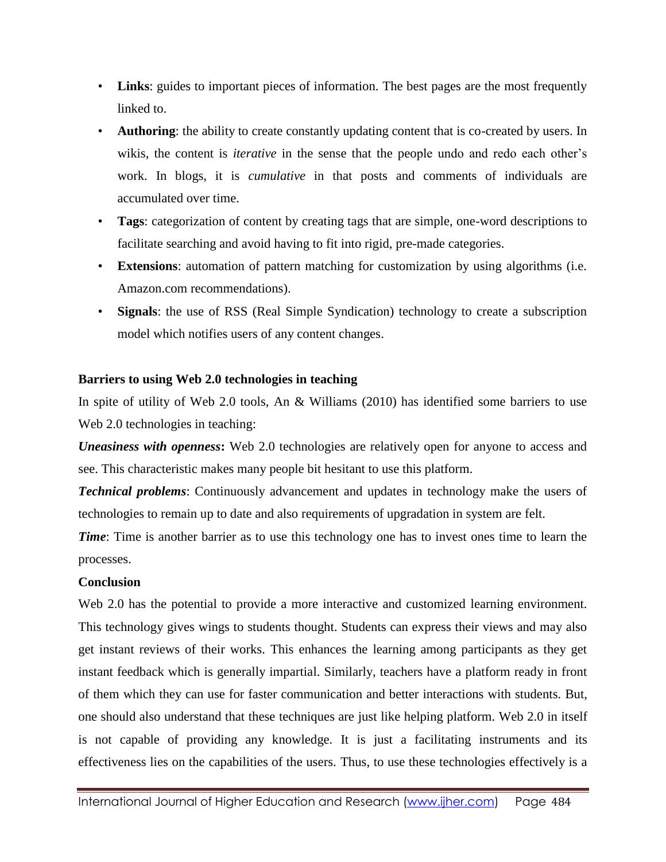- **Links**: guides to important pieces of information. The best pages are the most frequently linked to.
- **Authoring**: the ability to create constantly updating content that is co-created by users. In wikis, the content is *iterative* in the sense that the people undo and redo each other's work. In blogs, it is *cumulative* in that posts and comments of individuals are accumulated over time.
- **Tags**: categorization of content by creating tags that are simple, one-word descriptions to facilitate searching and avoid having to fit into rigid, pre-made categories.
- **Extensions**: automation of pattern matching for customization by using algorithms (i.e. Amazon.com recommendations).
- **Signals**: the use of RSS (Real Simple Syndication) technology to create a subscription model which notifies users of any content changes.

## **Barriers to using Web 2.0 technologies in teaching**

In spite of utility of Web 2.0 tools, An & Williams (2010) has identified some barriers to use Web 2.0 technologies in teaching:

*Uneasiness with openness*: Web 2.0 technologies are relatively open for anyone to access and see. This characteristic makes many people bit hesitant to use this platform.

*Technical problems*: Continuously advancement and updates in technology make the users of technologies to remain up to date and also requirements of upgradation in system are felt.

*Time*: Time is another barrier as to use this technology one has to invest ones time to learn the processes.

## **Conclusion**

Web 2.0 has the potential to provide a more interactive and customized learning environment. This technology gives wings to students thought. Students can express their views and may also get instant reviews of their works. This enhances the learning among participants as they get instant feedback which is generally impartial. Similarly, teachers have a platform ready in front of them which they can use for faster communication and better interactions with students. But, one should also understand that these techniques are just like helping platform. Web 2.0 in itself is not capable of providing any knowledge. It is just a facilitating instruments and its effectiveness lies on the capabilities of the users. Thus, to use these technologies effectively is a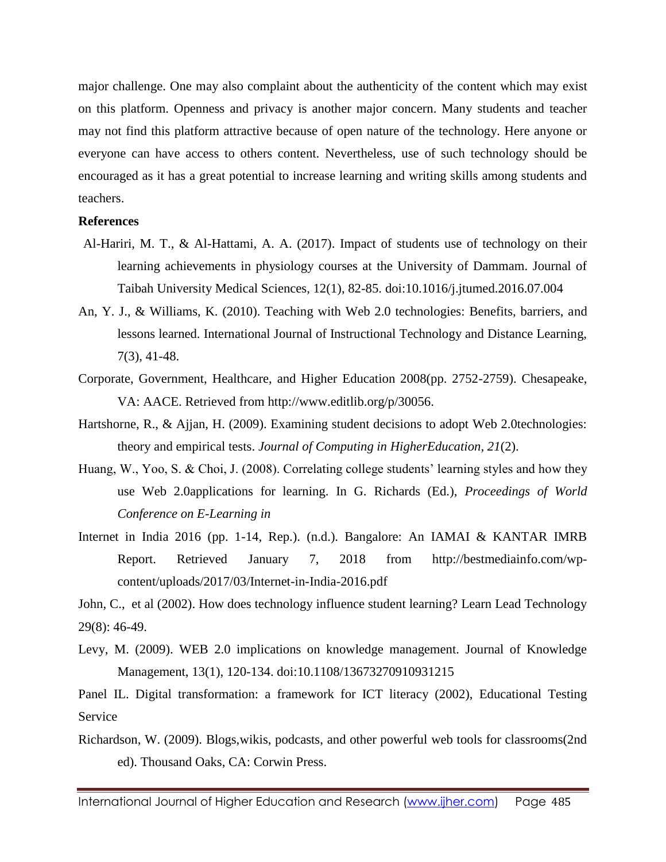major challenge. One may also complaint about the authenticity of the content which may exist on this platform. Openness and privacy is another major concern. Many students and teacher may not find this platform attractive because of open nature of the technology. Here anyone or everyone can have access to others content. Nevertheless, use of such technology should be encouraged as it has a great potential to increase learning and writing skills among students and teachers.

#### **References**

- Al-Hariri, M. T., & Al-Hattami, A. A. (2017). Impact of students use of technology on their learning achievements in physiology courses at the University of Dammam. Journal of Taibah University Medical Sciences, 12(1), 82-85. doi:10.1016/j.jtumed.2016.07.004
- An, Y. J., & Williams, K. (2010). Teaching with Web 2.0 technologies: Benefits, barriers, and lessons learned. International Journal of Instructional Technology and Distance Learning, 7(3), 41-48.
- Corporate, Government, Healthcare, and Higher Education 2008(pp. 2752-2759). Chesapeake, VA: AACE. Retrieved from http://www.editlib.org/p/30056.
- Hartshorne, R., & Ajjan, H. (2009). Examining student decisions to adopt Web 2.0technologies: theory and empirical tests. *Journal of Computing in HigherEducation, 21*(2).
- Huang, W., Yoo, S. & Choi, J. (2008). Correlating college students' learning styles and how they use Web 2.0applications for learning. In G. Richards (Ed.), *Proceedings of World Conference on E-Learning in*
- Internet in India 2016 (pp. 1-14, Rep.). (n.d.). Bangalore: An IAMAI & KANTAR IMRB Report. Retrieved January 7, 2018 from http://bestmediainfo.com/wpcontent/uploads/2017/03/Internet-in-India-2016.pdf

John, C., et al (2002). How does technology influence student learning? Learn Lead Technology 29(8): 46-49.

Levy, M. (2009). WEB 2.0 implications on knowledge management. Journal of Knowledge Management, 13(1), 120-134. doi:10.1108/13673270910931215

Panel IL. Digital transformation: a framework for ICT literacy (2002), Educational Testing Service

Richardson, W. (2009). Blogs,wikis, podcasts, and other powerful web tools for classrooms(2nd ed). Thousand Oaks, CA: Corwin Press.